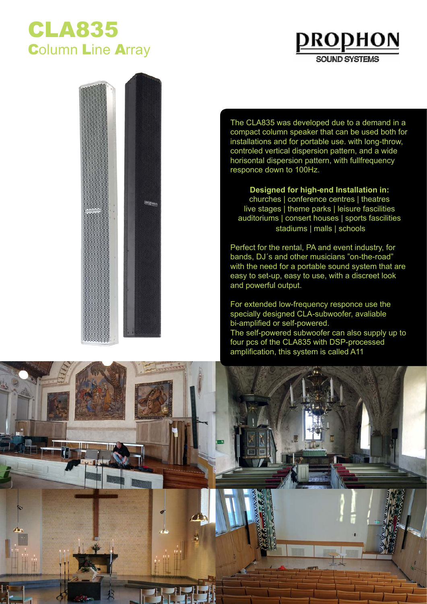## CLA835 **Column Line Array**





The CLA835 was developed due to a demand in a compact column speaker that can be used both for installations and for portable use. with long-throw, controled vertical dispersion pattern, and a wide horisontal dispersion pattern, with fullfrequency responce down to 100Hz.

**Designed for high-end Installation in:** churches | conference centres | theatres live stages | theme parks | leisure fascilities auditoriums | consert houses | sports fascilities stadiums | malls | schools

Perfect for the rental, PA and event industry, for bands, DJ´s and other musicians "on-the-road" with the need for a portable sound system that are easy to set-up, easy to use, with a discreet look and powerful output.

For extended low-frequency responce use the specially designed CLA-subwoofer, avaliable bi-amplified or self-powered. The self-powered subwoofer can also supply up to four pcs of the CLA835 with DSP-processed amplification, this system is called A11